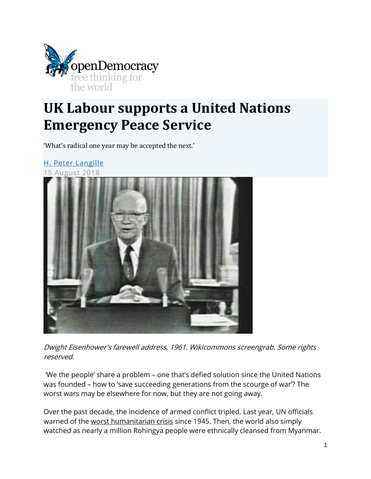

# **UK Labour supports a United Nations Emergency Peace Service**

'What's radical one year may be accepted the next.'

[H. Peter Langille](https://www.opendemocracy.net/en/author/h-peter-langille/)

15 August 2018



Dwight Eisenhower's farewell address, 1961. Wikicommons screengrab. Some rights reserved.

'We the people' share a problem – one that's defied solution since the United Nations was founded – how to 'save succeeding generations from the scourge of war'? The worst wars may be elsewhere for now, but they are not going away.

Over the past decade, the incidence of armed conflict tripled. Last year, UN officials warned of the [worst humanitarian crisis](https://www.theguardian.com/world/2017/mar/11/world-faces-worst-humanitarian-crisis-since-1945-says-un-official) since 1945. Then, the world also simply watched as nearly a million Rohingya people were ethnically cleansed from Myanmar.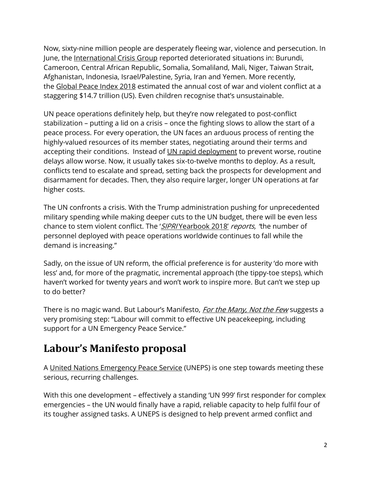Now, sixty-nine million people are desperately fleeing war, violence and persecution. In June, the [International Crisis Group](https://www.crisisgroup.org/crisiswatch) reported deteriorated situations in: Burundi, Cameroon, Central African Republic, Somalia, Somaliland, Mali, Niger, Taiwan Strait, Afghanistan, Indonesia, Israel/Palestine, Syria, Iran and Yemen. More recently, the [Global Peace Index 2018](http://visionofhumanity.org/app/uploads/2018/06/Global-Peace-Index-2018-2.pdf) estimated the annual cost of war and violent conflict at a staggering \$14.7 trillion (US). Even children recognise that's unsustainable.

UN peace operations definitely help, but they're now relegated to post-conflict stabilization – putting a lid on a crisis – once the fighting slows to allow the start of a peace process. For every operation, the UN faces an arduous process of renting the highly-valued resources of its member states, negotiating around their terms and accepting their conditions. Instead of [UN rapid deployment](https://www.ipinst.org/wp-content/uploads/publications/ipi_e_pub_improving_un_rapid_deployment.pdf) to prevent worse, routine delays allow worse. Now, it usually takes six-to-twelve months to deploy. As a result, conflicts tend to escalate and spread, setting back the prospects for development and disarmament for decades. Then, they also require larger, longer UN operations at far higher costs.

The UN confronts a crisis. With the Trump administration pushing for unprecedented military spending while making deeper cuts to the UN budget, there will be even less chance to stem violent conflict. The 'SIPRI [Yearbook 2018'](https://www.sipri.org/sites/default/files/2018-06/yb_18_summary_en_0.pdf) reports, 'the number of personnel deployed with peace operations worldwide continues to fall while the demand is increasing."

Sadly, on the issue of UN reform, the official preference is for austerity 'do more with less' and, for more of the pragmatic, incremental approach (the tippy-toe steps), which haven't worked for twenty years and won't work to inspire more. But can't we step up to do better?

There is no magic wand. But Labour's Manifesto, *[For the Many, Not the Few](https://labour.org.uk/wp-content/uploads/2017/10/labour-manifesto-2017.pdf)* suggests a very promising step: "Labour will commit to effective UN peacekeeping, including support for a UN Emergency Peace Service."

#### **Labour's Manifesto proposal**

A [United Nations Emergency Peace Service](https://www.opendemocracy.net/h-peter-langille/united-nations-emergency-peace-service-one-step-toward-operational-prevention-and-p) (UNEPS) is one step towards meeting these serious, recurring challenges.

With this one development – effectively a standing 'UN 999' first responder for complex emergencies – the UN would finally have a rapid, reliable capacity to help fulfil four of its tougher assigned tasks. A UNEPS is designed to help prevent armed conflict and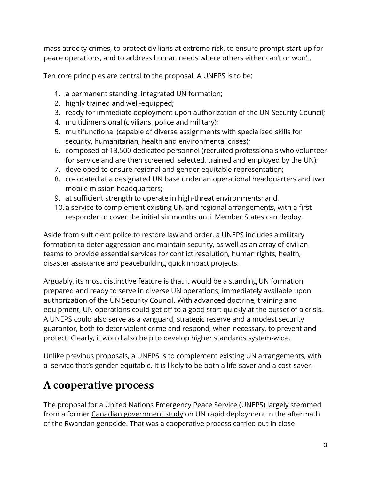mass atrocity crimes, to protect civilians at extreme risk, to ensure prompt start-up for peace operations, and to address human needs where others either can't or won't.

Ten core principles are central to the proposal. A UNEPS is to be:

- 1. a permanent standing, integrated UN formation;
- 2. highly trained and well-equipped;
- 3. ready for immediate deployment upon authorization of the UN Security Council;
- 4. multidimensional (civilians, police and military);
- 5. multifunctional (capable of diverse assignments with specialized skills for security, humanitarian, health and environmental crises);
- 6. composed of 13,500 dedicated personnel (recruited professionals who volunteer for service and are then screened, selected, trained and employed by the UN);
- 7. developed to ensure regional and gender equitable representation;
- 8. co-located at a designated UN base under an operational headquarters and two mobile mission headquarters;
- 9. at sufficient strength to operate in high-threat environments; and,
- 10. a service to complement existing UN and regional arrangements, with a first responder to cover the initial six months until Member States can deploy.

Aside from sufficient police to restore law and order, a UNEPS includes a military formation to deter aggression and maintain security, as well as an array of civilian teams to provide essential services for conflict resolution, human rights, health, disaster assistance and peacebuilding quick impact projects.

Arguably, its most distinctive feature is that it would be a standing UN formation, prepared and ready to serve in diverse UN operations, immediately available upon authorization of the UN Security Council. With advanced doctrine, training and equipment, UN operations could get off to a good start quickly at the outset of a crisis. A UNEPS could also serve as a vanguard, strategic reserve and a modest security guarantor, both to deter violent crime and respond, when necessary, to prevent and protect. Clearly, it would also help to develop higher standards system-wide.

Unlike previous proposals, a UNEPS is to complement existing UN arrangements, with a service that's gender-equitable. It is likely to be both a life-saver and a [cost-saver.](http://www.palgrave.com/la/book/9781137603388)

#### **A cooperative process**

The proposal for a [United Nations Emergency Peace Service](http://globalcommonsecurity.org/drpeterlangille/initiatives/united-nations-emergency-peace-service-uneps/) (UNEPS) largely stemmed from a former [Canadian government study](http://www.worldfederalistscanada.org/programdocs/UNEPSfiles/RR_eng2.pdf) on UN rapid deployment in the aftermath of the Rwandan genocide. That was a cooperative process carried out in close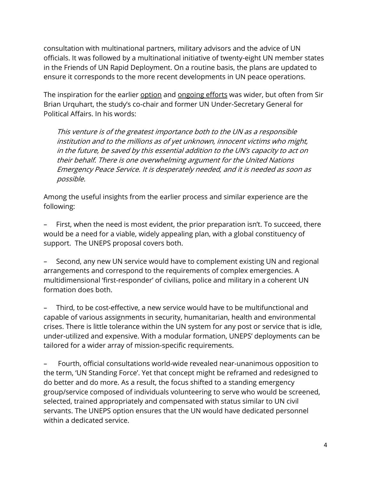consultation with multinational partners, military advisors and the advice of UN officials. It was followed by a multinational initiative of twenty-eight UN member states in the Friends of UN Rapid Deployment. On a routine basis, the plans are updated to ensure it corresponds to the more recent developments in UN peace operations.

The inspiration for the earlier [option](http://www.centerforunreform.org/?q=node/517) and [ongoing efforts](https://www.palgrave.com/gp/book/9781137603388) was wider, but often from Sir Brian Urquhart, the study's co-chair and former UN Under-Secretary General for Political Affairs. In his words:

This venture is of the greatest importance both to the UN as a responsible institution and to the millions as of yet unknown, innocent victims who might, in the future, be saved by this essential addition to the UN's capacity to act on their behalf. There is one overwhelming argument for the United Nations Emergency Peace Service. It is desperately needed, and it is needed as soon as possible.

Among the useful insights from the earlier process and similar experience are the following:

First, when the need is most evident, the prior preparation isn't. To succeed, there would be a need for a viable, widely appealing plan, with a global constituency of support. The UNEPS proposal covers both.

– Second, any new UN service would have to complement existing UN and regional arrangements and correspond to the requirements of complex emergencies. A multidimensional 'first-responder' of civilians, police and military in a coherent UN formation does both.

– Third, to be cost-effective, a new service would have to be multifunctional and capable of various assignments in security, humanitarian, health and environmental crises. There is little tolerance within the UN system for any post or service that is idle, under-utilized and expensive. With a modular formation, UNEPS' deployments can be tailored for a wider array of mission-specific requirements.

– Fourth, official consultations world-wide revealed near-unanimous opposition to the term, 'UN Standing Force'. Yet that concept might be reframed and redesigned to do better and do more. As a result, the focus shifted to a standing emergency group/service composed of individuals volunteering to serve who would be screened, selected, trained appropriately and compensated with status similar to UN civil servants. The UNEPS option ensures that the UN would have dedicated personnel within a dedicated service.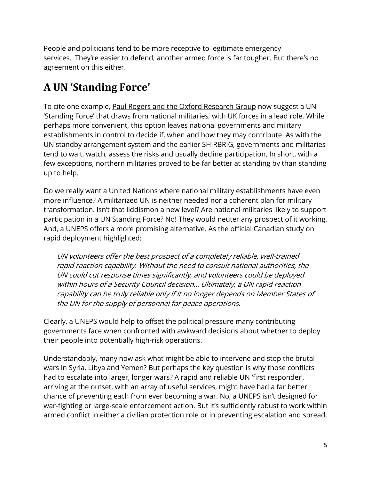People and politicians tend to be more receptive to legitimate emergency services. They're easier to defend; another armed force is far tougher. But there's no agreement on this either.

## **A UN 'Standing Force'**

To cite one example, [Paul Rogers and the Oxford Research Group](https://www.oxfordresearchgroup.org.uk/sustainable-security-global-ideas-for-a-greater-britain) now suggest a UN 'Standing Force' that draws from national militaries, with UK forces in a lead role. While perhaps more convenient, this option leaves national governments and military establishments in control to decide if, when and how they may contribute. As with the UN standby arrangement system and the earlier SHIRBRIG, governments and militaries tend to wait, watch, assess the risks and usually decline participation. In short, with a few exceptions, northern militaries proved to be far better at standing by than standing up to help.

Do we really want a United Nations where national military establishments have even more influence? A militarized UN is neither needed nor a coherent plan for military transformation. Isn't that [liddismo](https://www.opendemocracy.net/paul-rogers/beyond-%E2%80%9Cliddism%E2%80%9D-towards-real-global-security)n a new level? Are national militaries likely to support participation in a UN Standing Force? No! They would neuter any prospect of it working. And, a UNEPS offers a more promising alternative. As the official [Canadian study](https://s3.amazonaws.com/piquant/Langille/Towards+a+Rapid+Reaction+Capability+for+the+United+Nations.pdf) on rapid deployment highlighted:

UN volunteers offer the best prospect of a completely reliable, well-trained rapid reaction capability. Without the need to consult national authorities, the UN could cut response times significantly, and volunteers could be deployed within hours of a Security Council decision… Ultimately, a UN rapid reaction capability can be truly reliable only if it no longer depends on Member States of the UN for the supply of personnel for peace operations.

Clearly, a UNEPS would help to offset the political pressure many contributing governments face when confronted with awkward decisions about whether to deploy their people into potentially high-risk operations.

Understandably, many now ask what might be able to intervene and stop the brutal wars in Syria, Libya and Yemen? But perhaps the key question is why those conflicts had to escalate into larger, longer wars? A rapid and reliable UN 'first responder', arriving at the outset, with an array of useful services, might have had a far better chance of preventing each from ever becoming a war. No, a UNEPS isn't designed for war-fighting or large-scale enforcement action. But it's sufficiently robust to work within armed conflict in either a civilian protection role or in preventing escalation and spread.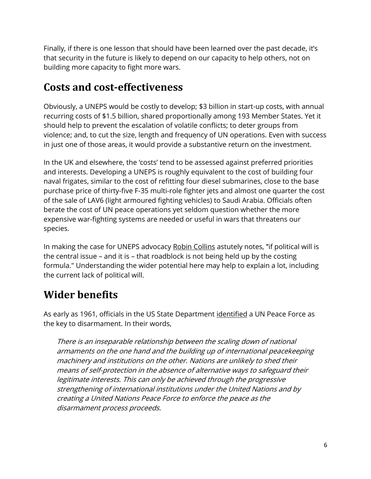Finally, if there is one lesson that should have been learned over the past decade, it's that security in the future is likely to depend on our capacity to help others, not on building more capacity to fight more wars.

#### **Costs and cost-effectiveness**

Obviously, a UNEPS would be costly to develop; \$3 billion in start-up costs, with annual recurring costs of \$1.5 billion, shared proportionally among 193 Member States. Yet it should help to prevent the escalation of volatile conflicts; to deter groups from violence; and, to cut the size, length and frequency of UN operations. Even with success in just one of those areas, it would provide a substantive return on the investment.

In the UK and elsewhere, the 'costs' tend to be assessed against preferred priorities and interests. Developing a UNEPS is roughly equivalent to the cost of building four naval frigates, similar to the cost of refitting four diesel submarines, close to the base purchase price of thirty-five F-35 multi-role fighter jets and almost one quarter the cost of the sale of LAV6 (light armoured fighting vehicles) to Saudi Arabia. Officials often berate the cost of UN peace operations yet seldom question whether the more expensive war-fighting systems are needed or useful in wars that threatens our species.

In making the case for UNEPS advocacy [Robin Collins](http://www.globalpolicyjournal.com/blog/13/11/2013/gp-responses-shouldn%E2%80%99t-uneps-advocacy-be-front-and-centre) astutely notes, "if political will is the central issue – and it is – that roadblock is not being held up by the costing formula." Understanding the wider potential here may help to explain a lot, including the current lack of political will.

### **Wider benefits**

As early as 1961, officials in the US State Department [identified](http://dosfan.lib.uic.edu/ERC/arms/freedom_war.html) a UN Peace Force as the key to disarmament. In their words,

There is an inseparable relationship between the scaling down of national armaments on the one hand and the building up of international peacekeeping machinery and institutions on the other. Nations are unlikely to shed their means of self-protection in the absence of alternative ways to safeguard their legitimate interests. This can only be achieved through the progressive strengthening of international institutions under the United Nations and by creating a United Nations Peace Force to enforce the peace as the disarmament process proceeds.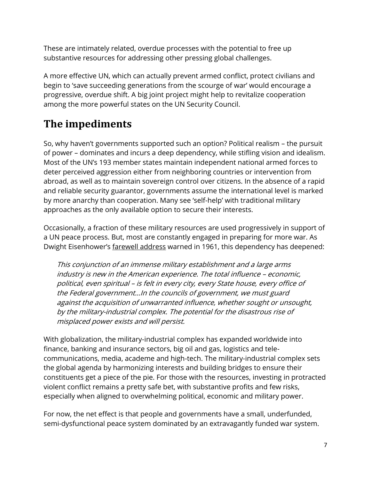These are intimately related, overdue processes with the potential to free up substantive resources for addressing other pressing global challenges.

A more effective UN, which can actually prevent armed conflict, protect civilians and begin to 'save succeeding generations from the scourge of war' would encourage a progressive, overdue shift. A big joint project might help to revitalize cooperation among the more powerful states on the UN Security Council.

## **The impediments**

So, why haven't governments supported such an option? Political realism – the pursuit of power – dominates and incurs a deep dependency, while stifling vision and idealism. Most of the UN's 193 member states maintain independent national armed forces to deter perceived aggression either from neighboring countries or intervention from abroad, as well as to maintain sovereign control over citizens. In the absence of a rapid and reliable security guarantor, governments assume the international level is marked by more anarchy than cooperation. Many see 'self-help' with traditional military approaches as the only available option to secure their interests.

Occasionally, a fraction of these military resources are used progressively in support of a UN peace process. But, most are constantly engaged in preparing for more war. As Dwight Eisenhower's [farewell address](https://www.ourdocuments.gov/doc.php?flash=false&doc=90&page=transcript) warned in 1961, this dependency has deepened:

This conjunction of an immense military establishment and a large arms industry is new in the American experience. The total influence – economic, political, even spiritual – is felt in every city, every State house, every office of the Federal government…In the councils of government, we must guard against the acquisition of unwarranted influence, whether sought or unsought, by the military-industrial complex. The potential for the disastrous rise of misplaced power exists and will persist.

With globalization, the military-industrial complex has expanded worldwide into finance, banking and insurance sectors, big oil and gas, logistics and telecommunications, media, academe and high-tech. The military-industrial complex sets the global agenda by harmonizing interests and building bridges to ensure their constituents get a piece of the pie. For those with the resources, investing in protracted violent conflict remains a pretty safe bet, with substantive profits and few risks, especially when aligned to overwhelming political, economic and military power.

For now, the net effect is that people and governments have a small, underfunded, semi-dysfunctional peace system dominated by an extravagantly funded war system.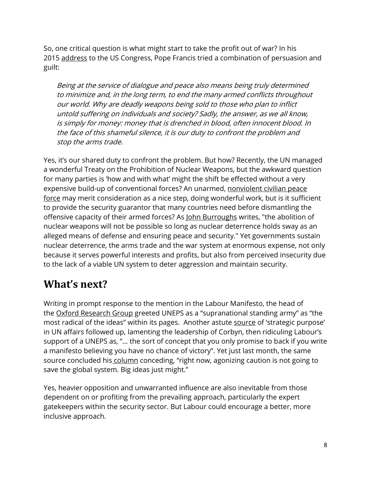So, one critical question is what might start to take the profit out of war? In his 2015 [address](https://www.theguardian.com/world/ng-interactive/2015/sep/24/pope-francis-addresses-congress-annotated) to the US Congress, Pope Francis tried a combination of persuasion and guilt:

Being at the service of dialogue and peace also means being truly determined to minimize and, in the long term, to end the many armed conflicts throughout our world. Why are deadly weapons being sold to those who plan to inflict untold suffering on individuals and society? Sadly, the answer, as we all know, is simply for money: money that is drenched in blood, often innocent blood. In the face of this shameful silence, it is our duty to confront the problem and stop the arms trade.

Yes, it's our shared duty to confront the problem. But how? Recently, the UN managed a wonderful Treaty on the Prohibition of Nuclear Weapons, but the awkward question for many parties is 'how and with what' might the shift be effected without a very expensive build-up of conventional forces? An unarmed, nonviolent civilian peace [force](http://nvpf.org/) may merit consideration as a nice step, doing wonderful work, but is it sufficient to provide the security guarantor that many countries need before dismantling the offensive capacity of their armed forces? As [John Burroughs](http://www.reachingcriticalwill.org/images/documents/Disarmament-fora/nuclear-weapon-ban/reports/NBD2.5.pdf) writes, "the abolition of nuclear weapons will not be possible so long as nuclear deterrence holds sway as an alleged means of defense and ensuring peace and security." Yet governments sustain nuclear deterrence, the arms trade and the war system at enormous expense, not only because it serves powerful interests and profits, but also from perceived insecurity due to the lack of a viable UN system to deter aggression and maintain security.

#### **What's next?**

Writing in prompt response to the mention in the Labour Manifesto, the head of the [Oxford Research Group](https://www.oxfordresearchgroup.org.uk/un-peacekeeping-and-the-2017-election) greeted UNEPS as a "supranational standing army" as "the most radical of the ideas" within its pages. Another astute [source](https://www.worldpoliticsreview.com/articles/22350/in-the-u-k-elections-a-post-brexit-internationalist-vision-comes-into-focus) of 'strategic purpose' in UN affairs followed up, lamenting the leadership of Corbyn, then ridiculing Labour's support of a UNEPS as, "… the sort of concept that you only promise to back if you write a manifesto believing you have no chance of victory". Yet just last month, the same source concluded his [column](https://www.worldpoliticsreview.com/articles/24974/under-assault-multilateralism-needs-big-ideas-more-than-ever) conceding, "right now, agonizing caution is not going to save the global system. Big ideas just might."

Yes, heavier opposition and unwarranted influence are also inevitable from those dependent on or profiting from the prevailing approach, particularly the expert gatekeepers within the security sector. But Labour could encourage a better, more inclusive approach.